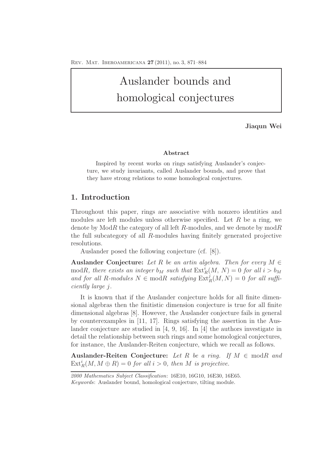# Auslander bounds and homological conjectures

**Jiaqun Wei**

#### **Abstract**

Inspired by recent works on rings satisfying Auslander's conjecture, we study invariants, called Auslander bounds, and prove that they have strong relations to some homological conjectures.

## **1. Introduction**

Throughout this paper, rings are associative with nonzero identities and modules are left modules unless otherwise specified. Let  $R$  be a ring, we denote by  $ModR$  the category of all left R-modules, and we denote by  $modR$ the full subcategory of all R-modules having finitely generated projective resolutions.

Auslander posed the following conjecture (cf. [8]).

**Auslander Conjecture:** Let R be an artin algebra. Then for every  $M \in$ modR, there exists an integer  $b_M$  such that  $\text{Ext}_R^i(M, N) = 0$  for all  $i > b_M$ and for all R-modules  $N \in \text{mod}R$  satisfying  $\text{Ext}_R^j(M, N) = 0$  for all sufficiently large j.

It is known that if the Auslander conjecture holds for all finite dimensional algebras then the finitistic dimension conjecture is true for all finite dimensional algebras [8]. However, the Auslander conjecture fails in general by counterexamples in [11, 17]. Rings satisfying the assertion in the Auslander conjecture are studied in [4, 9, 16]. In [4] the authors investigate in detail the relationship between such rings and some homological conjectures, for instance, the Auslander-Reiten conjecture, which we recall as follows.

**Auslander-Reiten Conjecture:** Let R be a ring. If  $M \in \text{mod } R$  and  $\text{Ext}_{R}^{i}(M, M \oplus R) = 0$  for all  $i > 0$ , then M is projective.

*<sup>2000</sup> Mathematics Subject Classification*: 16E10, 16G10, 16E30, 16E65. *Keywords*: Auslander bound, homological conjecture, tilting module.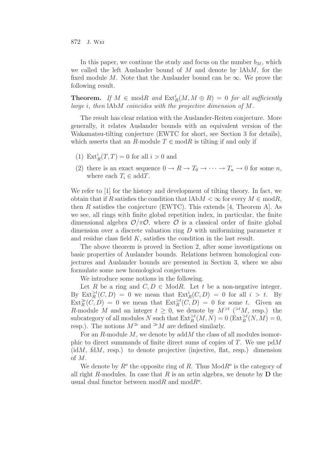In this paper, we continue the study and focus on the number  $b_M$ , which we called the left Auslander bound of  $M$  and denote by  $\lambda$ bM, for the fixed module M. Note that the Auslander bound can be  $\infty$ . We prove the following result.

**Theorem.** If  $M \in \text{mod } R$  and  $\text{Ext}^i_R(M, M \oplus R) = 0$  for all sufficiently large i, then lAbM coincides with the projective dimension of M.

The result has clear relation with the Auslander-Reiten conjecture. More generally, it relates Auslander bounds with an equivalent version of the Wakamatsu-tilting conjecture (EWTC for short, see Section 3 for details), which asserts that an R-module  $T \in \text{mod } R$  is tilting if and only if

- (1)  $\text{Ext}_{R}^{i}(T, T) = 0$  for all  $i > 0$  and
- (2) there is an exact sequence  $0 \to R \to T_0 \to \cdots \to T_n \to 0$  for some n, where each  $T_i \in \text{add}T$ .

We refer to [1] for the history and development of tilting theory. In fact, we obtain that if R satisfies the condition that  $A \& \infty$  for every  $M \in \text{mod} R$ , then R satisfies the conjecture (EWTC). This extends [4, Theorem A]. As we see, all rings with finite global repetition index, in particular, the finite dimensional algebra  $\mathcal{O}/\pi\mathcal{O}$ , where  $\mathcal O$  is a classical order of finite global dimension over a discrete valuation ring D with uniformizing parameter  $\pi$ and residue class field K, satisfies the condition in the last result.

The above theorem is proved in Section 2, after some investigations on basic properties of Auslander bounds. Relations between homological conjectures and Auslander bounds are presented in Section 3, where we also formulate some new homological conjectures.

We introduce some notions in the following.

Let R be a ring and  $C, D \in \text{Mod } R$ . Let t be a non-negative integer. By  $\text{Ext}^{\geq t}_R(C, D) = 0$  we mean that  $\text{Ext}^i_R(C, D) = 0$  for all  $i > t$ . By  $\text{Ext}_{R}^{\gg}(C, D) = 0$  we mean that  $\text{Ext}_{R}^{\geq t}(C, D) = 0$  for some t. Given an R-module M and an integer  $t \geq 0$ , we denote by  $M^{>t}$  ( $>tM$ , resp.) the subcategory of all modules N such that  $\text{Ext}_{R}^{\geq t}(M,N) = 0$   $(\text{Ext}_{R}^{\geq t}(N,M) = 0,$ resp.). The notions  $M^{\gg}$  and  $^{\gg}M$  are defined similarly.

For an R-module  $M$ , we denote by add  $M$  the class of all modules isomorphic to direct summands of finite direct sums of copies of  $T$ . We use pd $M$  $(idM, fdM, resp.)$  to denote projective (injective, flat, resp.) dimension of M.

We denote by  $R^{\circ}$  the opposite ring of R. Thus Mod $R^{\circ}$  is the category of all right R-modules. In case that  $R$  is an artin algebra, we denote by  $D$  the usual dual functor between  $\text{mod}R$  and  $\text{mod}R^o$ .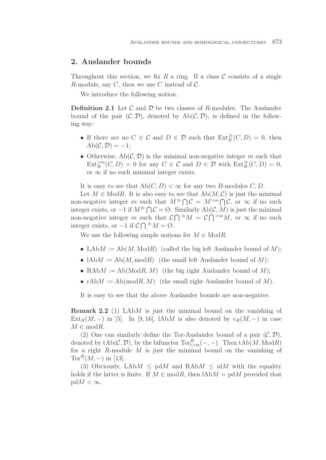# **2. Auslander bounds**

Throughout this section, we fix R a ring. If a class  $\mathcal C$  consists of a single R-module, say C, then we use C instead of  $\mathcal{C}$ .

We introduce the following notion.

**Definition 2.1** Let  $\mathcal{C}$  and  $\mathcal{D}$  be two classes of R-modules. The Auslander bound of the pair  $(C, \mathcal{D})$ , denoted by  $Ab(C, \mathcal{D})$ , is defined in the following way:

- If there are no  $C \in \mathcal{C}$  and  $D \in \mathcal{D}$  such that  $\text{Ext}_{R}^{\gg}(C, D) = 0$ , then  $Ab(\mathcal{C},\mathcal{D})=-1;$
- Otherwise,  $Ab(C, \mathcal{D})$  is the minimal non-negative integer m such that  $\text{Ext}_{R}^{>m}(C, D) = 0$  for any  $C \in \mathcal{C}$  and  $D \in \mathcal{D}$  with  $\text{Ext}_{R}^{*}(C, D) = 0$ , or  $\infty$  if no such minimal integer exists.

It is easy to see that  $Ab(C, D) < \infty$  for any two R-modules C, D.

Let  $M \in Mod R$ . It is also easy to see that  $Ab(M, \mathcal{C})$  is just the minimal non-negative integer m such that  $M^{\gg} \bigcap \mathcal{C} = M^{>m} \bigcap \mathcal{C}$ , or  $\infty$  if no such integer exists, or  $-1$  if  $M^{\gg} \bigcap C = \emptyset$ . Similarly Ab(C, M) is just the minimal non-negative integer m such that  $\mathcal{C} \bigcap {}^{\gg}M = \mathcal{C} \bigcap {}^{\gg}M$ , or  $\infty$  if no such integer exists, or  $-1$  if  $C \bigcap^{\infty} M = \emptyset$ .

We use the following simple notions for  $M \in Mod R$ .

- LAb $M := Ab(M, \text{Mod }R)$  (called the big left Auslander bound of M);
- $\Lambda_{\text{b}}(M) := \Lambda_{\text{b}}(M) \text{ mod } R$  (the small left Auslander bound of M);
- RAb $M := Ab(\text{Mod}R, M)$  (the big right Auslander bound of M);
- rAb $M := Ab(mod R, M)$  (the small right Auslander bound of M).

It is easy to see that the above Auslander bounds are non-negative.

**Remark 2.2** (1) LAbM is just the minimal bound on the vanishing of  $Ext_R(M, -)$  in [5]. In [9, 16], lAbM is also denoted by  $e_R(M, -)$  in case  $M \in \text{mod}R$ .

(2) One can similarly define the Tor-Auslander bound of a pair  $(C, \mathcal{D})$ , denoted by  $\text{tAb}(\mathcal{C}, \mathcal{D})$ , by the bifunctor  $\text{Tor}_{i>m}^R(-, -)$ . Then  $\text{tAb}(M, \text{Mod}R)$ for a right  $R$ -module  $M$  is just the minimal bound on the vanishing of Tor<sup>R</sup> $(M, -)$  in [13].

(3) Obviously, LAb $M \leq \text{pd}M$  and RAb $M \leq \text{id}M$  with the equality holds if the latter is finite. If  $M \in \text{mod}R$ , then  $\text{IAb}M = \text{pd}M$  provided that  $pdM < \infty$ .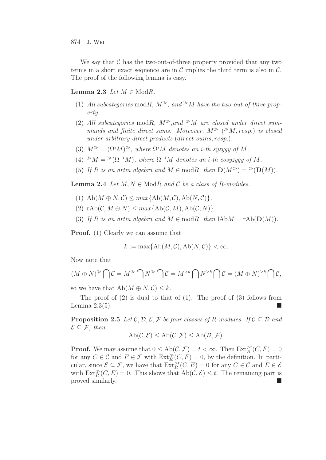We say that  $\mathcal C$  has the two-out-of-three property provided that any two terms in a short exact sequence are in  $\mathcal C$  implies the third term is also in  $\mathcal C$ . The proof of the following lemma is easy.

## **Lemma 2.3** Let  $M \in \text{Mod}R$ .

- (1) All subcategories modR,  $M^*$ , and  $^*M$  have the two-out-of-three property.
- (2) All subcategories modR,  $M^*$ , and  $^*M$  are closed under direct summands and finite direct sums. Moreover,  $M^{\gg}$  ( $^{\gg}M$ , resp.) is closed under arbitrary direct products (direct sums, resp.).
- (3)  $M^{\gg} = (\Omega^i M)^{\gg}$ , where  $\Omega^i M$  denotes an *i*-th syzygy of M.
- (4)  $^{\gg}M = \mathcal{P}(\Omega^{-i}M)$ , where  $\Omega^{-i}M$  denotes an *i*-th cosyzygy of M.
- (5) If R is an artin algebra and  $M \in \text{mod}R$ , then  $\mathbf{D}(M^{\gg}) = {}^{\gg}(\mathbf{D}(M))$ .

**Lemma 2.4** Let  $M, N \in \text{Mod}R$  and  $C$  be a class of R-modules.

- (1)  $\text{Ab}(M \oplus N, \mathcal{C}) \leq max\{\text{Ab}(M, \mathcal{C}), \text{Ab}(N, \mathcal{C})\}.$
- (2)  $\text{rAb}(\mathcal{C}, M \oplus N) \leq max\{\text{Ab}(\mathcal{C}, M), \text{Ab}(\mathcal{C}, N)\}.$
- (3) If R is an artin algebra and  $M \in \text{mod}R$ , then  $\text{IAb}M = \text{rAb}(\mathbf{D}(M)).$

**Proof.** (1) Clearly we can assume that

$$
k := \max\{\text{Ab}(M,\mathcal{C}),\text{Ab}(N,\mathcal{C})\} < \infty.
$$

Now note that

$$
(M \oplus N)^{\gg} \bigcap \mathcal{C} = M^{\gg} \bigcap N^{\gg} \bigcap \mathcal{C} = M^{>k} \bigcap N^{>k} \bigcap \mathcal{C} = (M \oplus N)^{>k} \bigcap \mathcal{C},
$$

so we have that  $Ab(M \oplus N, \mathcal{C}) \leq k$ .

The proof of  $(2)$  is dual to that of  $(1)$ . The proof of  $(3)$  follows from Lemma  $2.3(5)$ .

**Proposition 2.5** Let  $\mathcal{C}, \mathcal{D}, \mathcal{E}, \mathcal{F}$  be four classes of R-modules. If  $\mathcal{C} \subset \mathcal{D}$  and  $\mathcal{E} \subseteq \mathcal{F}$ , then

$$
Ab(\mathcal{C}, \mathcal{E}) \leq Ab(\mathcal{C}, \mathcal{F}) \leq Ab(\mathcal{D}, \mathcal{F}).
$$

**Proof.** We may assume that  $0 \le Ab(\mathcal{C}, \mathcal{F}) = t < \infty$ . Then  $\text{Ext}_{R}^{>t}(C, F) = 0$ for any  $C \in \mathcal{C}$  and  $F \in \mathcal{F}$  with  $\text{Ext}_{R}^{\gg}(C, F) = 0$ , by the definition. In particular, since  $\mathcal{E} \subseteq \mathcal{F}$ , we have that  $\text{Ext}_R^{\geq t}(C, E) = 0$  for any  $C \in \mathcal{C}$  and  $E \in \mathcal{E}$ with  $\text{Ext}_{R}^{\gg}(C, E) = 0$ . This shows that  $\text{Ab}(\mathcal{C}, \mathcal{E}) \leq t$ . The remaining part is proved similarly.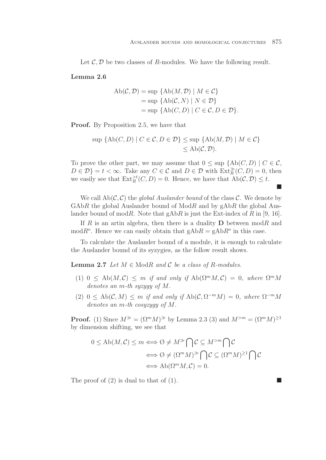$\Box$ 

Let  $\mathcal{C}, \mathcal{D}$  be two classes of R-modules. We have the following result.

## **Lemma 2.6**

$$
Ab(C, \mathcal{D}) = \sup \{ Ab(M, \mathcal{D}) \mid M \in \mathcal{C} \}
$$
  
= 
$$
\sup \{ Ab(C, N) \mid N \in \mathcal{D} \}
$$
  
= 
$$
\sup \{ Ab(C, D) \mid C \in \mathcal{C}, D \in \mathcal{D} \}.
$$

**Proof.** By Proposition 2.5, we have that

$$
\sup \{ \mathrm{Ab}(C, D) \mid C \in \mathcal{C}, D \in \mathcal{D} \} \le \sup \{ \mathrm{Ab}(M, \mathcal{D}) \mid M \in \mathcal{C} \} \le \mathrm{Ab}(\mathcal{C}, \mathcal{D}).
$$

To prove the other part, we may assume that  $0 \leq \sup \{Ab(C, D) \mid C \in \mathcal{C}, \}$  $D \in \mathcal{D}$  =  $t < \infty$ . Take any  $C \in \mathcal{C}$  and  $D \in \mathcal{D}$  with  $\text{Ext}_{R}^{\gg}(C, D) = 0$ , then we easily see that  $\text{Ext}^{\geq t}_R(C, D) = 0$ . Hence, we have that  $\text{Ab}(\mathcal{C}, \mathcal{D}) \leq t$ .

We call  $Ab(C, C)$  the global Auslander bound of the class C. We denote by  $GAbR$  the global Auslander bound of  $ModR$  and by  $gAbR$  the global Auslander bound of modR. Note that  $gAbR$  is just the Ext-index of R in [9, 16].

If R is an artin algebra, then there is a duality  $D$  between modR and mod $R^o$ . Hence we can easily obtain that  $gAbR = gAbR^o$  in this case.

To calculate the Auslander bound of a module, it is enough to calculate the Auslander bound of its syzygies, as the follow result shows.

**Lemma 2.7** Let  $M \in \text{Mod}R$  and  $C$  be a class of R-modules.

- (1) 0 < Ab( $M, \mathcal{C}$ ) < m if and only if Ab( $\Omega^m M, \mathcal{C}$ ) = 0, where  $\Omega^m M$ denotes an m-th syzygy of M.
- (2) 0 < Ab(C, M) < m if and only if Ab(C,  $\Omega^{-m}M$ ) = 0, where  $\Omega^{-m}M$ denotes an m-th cosyzygy of M.

**Proof.** (1) Since  $M^{\gg} = (\Omega^m M)^{\gg}$  by Lemma 2.3 (3) and  $M^{>m} = (\Omega^m M)^{\geq 1}$ by dimension shifting, we see that

$$
0 \le Ab(M, C) \le m \Longleftrightarrow \emptyset \ne M^{\gg} \bigcap C \subseteq M^{>m} \bigcap C
$$

$$
\Longleftrightarrow \emptyset \ne (\Omega^m M)^{\gg} \bigcap C \subseteq (\Omega^m M)^{\ge 1} \bigcap C
$$

$$
\Longleftrightarrow Ab(\Omega^m M, C) = 0.
$$

The proof of (2) is dual to that of (1).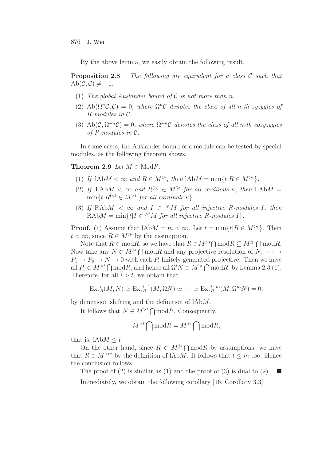By the above lemma, we easily obtain the following result.

**Proposition 2.8** The following are equivalent for a class C such that  $Ab(C, C) \neq -1.$ 

- (1) The global Auslander bound of  $\mathcal C$  is not more than n.
- (2) Ab( $\Omega^n$ C, C) = 0, where  $\Omega^nC$  denotes the class of all n-th syzygies of R-modules in C.
- (3) Ab( $\mathcal{C}, \Omega^{-n}\mathcal{C}$ ) = 0, where  $\Omega^{-n}\mathcal{C}$  denotes the class of all n-th cosyzygies of R-modules in C.

In some cases, the Auslander bound of a module can be tested by special modules, as the following theorem shows.

**Theorem 2.9** Let  $M \in \text{Mod}R$ .

- (1) If  $1AbM < \infty$  and  $R \in M^{\gg}$ , then  $1AbM = \min\{t | R \in M^{>t}\}.$
- (2) If LAb $M < \infty$  and  $R^{(\kappa)} \in M^{\gg}$  for all cardinals  $\kappa$ , then LAb $M =$  $\min\{t | R^{(\kappa)} \in M^{>t} \text{ for all cardinals } \kappa\}.$
- (3) If RAbM  $\langle \infty \rangle$  and  $I \in M$  for all injective R-modules I, then RAb $M = \min\{t | I \in {}^{>t}M$  for all injective R-modules  $I\}.$

**Proof.** (1) Assume that  $1AbM = m < \infty$ . Let  $t = \min\{t | R \in M^{>t}\}\$ . Then  $t < \infty$ , since  $R \in M^{\gg}$  by the assumption.

Note that  $R \in \text{mod } R$ , so we have that  $R \in M^{>t} \cap \text{mod } R \subseteq M^{\gg} \cap \text{mod } R$ . Now take any  $N \in M^{\gg} \cap \mathbf{mod}R$  and any projective resolution of  $N: \cdots \to$  $P_1 \rightarrow P_0 \rightarrow N \rightarrow 0$  with each  $P_i$  finitely generated projective. Then we have all  $P_i \in M^{>t} \cap \text{mod}R$ , and hence all  $\Omega^i N \in M^{\gg} \cap \text{mod}R$ , by Lemma 2.3 (1). Therefore, for all  $i > t$ , we obtain that

$$
\text{Ext}^i_R(M,N) \simeq \text{Ext}^{i+1}_R(M,\Omega N) \simeq \cdots \simeq \text{Ext}^{i+m}_R(M,\Omega^m N) = 0,
$$

by dimension shifting and the definition of lAbM.

It follows that  $N \in M^{>t} \cap \text{mod}R$ . Consequently,

$$
M^{>t} \bigcap \text{mod} R = M^{\gg} \bigcap \text{mod} R,
$$

that is,  $1AbM \leq t$ .

On the other hand, since  $R \in M^{\gg} \cap \mathcal{M}$  by assumptions, we have that  $R \in M^{>m}$  by the definition of lAbM. It follows that  $t \leq m$  too. Hence the conclusion follows.

The proof of (2) is similar as (1) and the proof of (3) is dual to (2).  $\blacksquare$ 

Immediately, we obtain the following corollary [16, Corollary 3.3].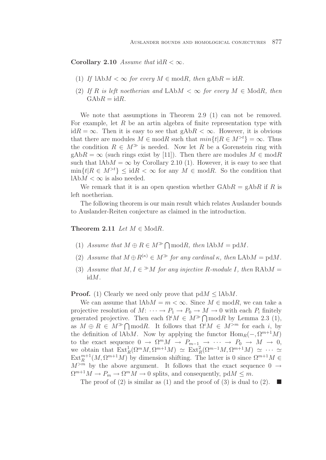**Corollary 2.10** Assume that  $idR < \infty$ .

- (1) If  $1\text{Ab}M < \infty$  for every  $M \in \text{mod}R$ , then  $\text{gAb}R = \text{id}R$ .
- (2) If R is left noetherian and LAbM  $< \infty$  for every  $M \in \text{Mod}R$ , then  $GAbR = idR.$

We note that assumptions in Theorem 2.9 (1) can not be removed. For example, let  $R$  be an artin algebra of finite representation type with id $R = \infty$ . Then it is easy to see that gAb $R < \infty$ . However, it is obvious that there are modules  $M \in \text{mod } R$  such that  $\min\{t | R \in M^{>t}\} = \infty$ . Thus the condition  $R \in M^{\gg}$  is needed. Now let R be a Gorenstein ring with  $gAbR = \infty$  (such rings exist by [11]). Then there are modules  $M \in \text{mod}R$ such that  $A\rightarrow M = \infty$  by Corollary 2.10 (1). However, it is easy to see that  $\min\{t\vert R\in M^{>t}\}\leq \mathrm{id}R<\infty$  for any  $M\in \mathrm{mod}R$ . So the condition that  $lAbM < \infty$  is also needed.

We remark that it is an open question whether  $\mathrm{GAb}R = \mathrm{gAb}R$  if R is left noetherian.

The following theorem is our main result which relates Auslander bounds to Auslander-Reiten conjecture as claimed in the introduction.

### **Theorem 2.11** Let  $M \in \text{Mod}R$ .

- (1) Assume that  $M \oplus R \in M^{\gg} \bigcap \text{mod}R$ , then  $\text{IAb}M = \text{pd}M$ .
- (2) Assume that  $M \oplus R^{(\kappa)} \in M^{\gg}$  for any cardinal  $\kappa$ , then LAb $M = \text{pd}M$ .
- (3) Assume that  $M, I \in M$  for any injective R-module I, then RAbM = idM.

**Proof.** (1) Clearly we need only prove that  $pdM \leq 1$ AbM.

We can assume that  $A \Delta bM = m < \infty$ . Since  $M \in \mathbf{mod} R$ , we can take a projective resolution of  $M: \cdots \to P_1 \to P_0 \to M \to 0$  with each  $P_i$  finitely generated projective. Then each  $\Omega^i M \in M^{\gg} \cap \text{mod}R$  by Lemma 2.3 (1), as  $M \oplus R \in M^{\gg} \cap \text{mod } R$ . It follows that  $\Omega^{i} M \in M^{>m}$  for each i, by the definition of lAbM. Now by applying the functor  $\text{Hom}_R(-, \Omega^{m+1}M)$ to the exact sequence  $0 \to \Omega^m M \to P_{m-1} \to \cdots \to P_0 \to M \to 0$ , we obtain that  $\operatorname{Ext}^1_R(\Omega^mM, \Omega^{m+1}M) \simeq \operatorname{Ext}^2_R(\Omega^{m-1}M, \Omega^{m+1}M) \simeq \cdots$  $\text{Ext}_{R}^{m+1}(M, \Omega^{m+1}M)$  by dimension shifting. The latter is 0 since  $\Omega^{m+1}M \in$  $M^{>m}$  by the above argument. It follows that the exact sequence  $0 \rightarrow$  $\Omega^{m+1}M \to P_m \to \Omega^mM \to 0$  splits, and consequently, pd $M \leq m$ .

The proof of (2) is similar as (1) and the proof of (3) is dual to (2).  $\blacksquare$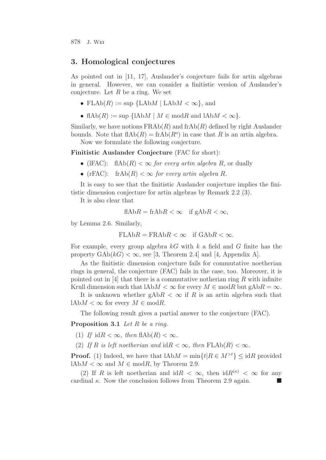## **3. Homological conjectures**

As pointed out in [11, 17], Auslander's conjecture fails for artin algebras in general. However, we can consider a finitistic version of Auslander's conjecture. Let  $R$  be a ring. We set

- FLAb $(R) := \sup \{ \text{LAb} M \mid \text{LAb} M < \infty \},\$ and
- flAb(R) := sup {lAbM |  $M \in \text{mod}R$  and lAb $M < \infty$  }.

Similarly, we have notions  $\text{FRAb}(R)$  and  $\text{frAb}(R)$  defined by right Auslander bounds. Note that  $f(A|A) = f(A|B)$  in case that R is an artin algebra.

Now we formulate the following conjecture.

**Finitistic Auslander Conjecture** (FAC for short):

- (IFAC):  $f(A \cap B) < \infty$  for every artin algebra R, or dually
- (rFAC): frAb $(R) < \infty$  for every artin algebra R.

It is easy to see that the finitistic Auslander conjecture implies the finitistic dimension conjecture for artin algebras by Remark 2.2 (3).

It is also clear that

$$
fA bR = frAbR < \infty \quad \text{if } gAbR < \infty,
$$

by Lemma 2.6. Similarly,

$$
FLAbR = FRAbR < \infty \quad \text{if } GAbR < \infty.
$$

For example, every group algebra  $kG$  with k a field and G finite has the property  $GAb(kG) < \infty$ , see [3, Theorem 2.4] and [4, Appendix A].

As the finitistic dimension conjecture fails for commutative noetherian rings in general, the conjecture (FAC) fails in the case, too. Moreover, it is pointed out in [4] that there is a commutative notherian ring R with infinite Krull dimension such that  $A \wedge M < \infty$  for every  $M \in \mathfrak{mod} R$  but  $\mathfrak{g} \triangle B R = \infty$ .

It is unknown whether  $gAbR < \infty$  if R is an artin algebra such that lAb $M < \infty$  for every  $M \in \text{mod } R$ .

The following result gives a partial answer to the conjecture (FAC).

**Proposition 3.1** Let R be a ring.

- (1) If  $idR < \infty$ , then  $flAb(R) < \infty$ .
- (2) If R is left noetherian and  $idR < \infty$ , then  $FLAb(R) < \infty$ .

**Proof.** (1) Indeed, we have that  $1AbM = min\{t | R \in M^{>t}\}\leq idR$  provided lAb $M < \infty$  and  $M \in \text{mod } R$ , by Theorem 2.9.

(2) If R is left noetherian and  $idR < \infty$ , then  $idR^{(\kappa)} < \infty$  for any cardinal  $\kappa$ . Now the conclusion follows from Theorem 2.9 again.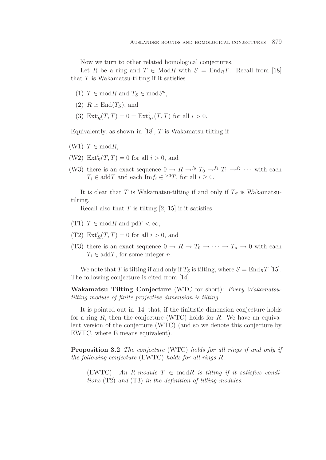Now we turn to other related homological conjectures.

Let R be a ring and  $T \in Mod R$  with  $S = End_R T$ . Recall from [18] that  $T$  is Wakamatsu-tilting if it satisfies

- (1)  $T \in \text{mod}R$  and  $T_s \in \text{mod}S^o$ ,
- (2)  $R \simeq$  End( $T_S$ ), and
- (3)  $\text{Ext}_{R}^{i}(T, T) = 0 = \text{Ext}_{S}^{i}(T, T)$  for all  $i > 0$ .

Equivalently, as shown in [18],  $T$  is Wakamatsu-tilting if

- (W1)  $T \in \text{mod}R$ ,
- (W2)  $\mathrm{Ext}^i_R(T,T) = 0$  for all  $i > 0$ , and
- (W3) there is an exact sequence  $0 \to R \to^{f_0} T_0 \to^{f_1} T_1 \to^{f_2} \cdots$  with each  $T_i \in \text{add}T$  and each  $\text{Im}f_i \in {}^{>0}T$ , for all  $i \geq 0$ .

It is clear that T is Wakamatsu-tilting if and only if  $T<sub>S</sub>$  is Wakamatsutilting.

Recall also that  $T$  is tilting [2, 15] if it satisfies

- (T1)  $T \in \text{mod } R$  and  $\text{pd}T < \infty$ ,
- (T2)  $\mathrm{Ext}^i_R(T,T) = 0$  for all  $i > 0$ , and
- (T3) there is an exact sequence  $0 \to R \to T_0 \to \cdots \to T_n \to 0$  with each  $T_i \in \text{add } T$ , for some integer n.

We note that T is tilting if and only if  $T_S$  is tilting, where  $S = \text{End}_B T$  [15]. The following conjecture is cited from [14].

**Wakamatsu Tilting Conjecture** (WTC for short): Every Wakamatsutilting module of finite projective dimension is tilting.

It is pointed out in [14] that, if the finitistic dimension conjecture holds for a ring  $R$ , then the conjecture (WTC) holds for  $R$ . We have an equivalent version of the conjecture (WTC) (and so we denote this conjecture by EWTC, where E means equivalent).

**Proposition 3.2** The conjecture (WTC) holds for all rings if and only if the following conjecture (EWTC) holds for all rings R.

(EWTC): An R-module  $T \in \text{mod } R$  is tilting if it satisfies conditions  $(T2)$  and  $(T3)$  in the definition of tilting modules.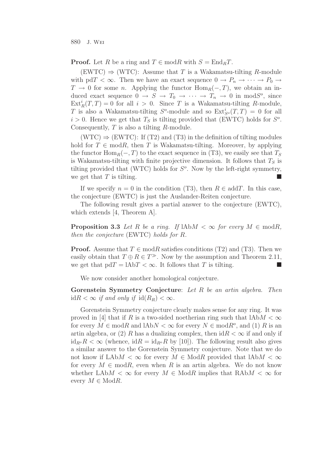**Proof.** Let R be a ring and  $T \in \text{mod } R$  with  $S = \text{End}_R T$ .

 $(EWTC) \Rightarrow (WTC)$ : Assume that T is a Wakamatsu-tilting R-module with pdT <  $\infty$ . Then we have an exact sequence  $0 \to P_n \to \cdots \to P_0 \to$  $T \to 0$  for some *n*. Applying the functor  $\text{Hom}_R(-, T)$ , we obtain an induced exact sequence  $0 \to S \to T_0 \to \cdots \to T_n \to 0$  in mod $S^o$ , since  $\text{Ext}_{R}^{i}(T, T) = 0$  for all  $i > 0$ . Since T is a Wakamatsu-tilting R-module, T is also a Wakamatsu-tilting  $S^o$ -module and so  $\text{Ext}_{S^o}^i(T,T) = 0$  for all  $i > 0$ . Hence we get that  $T<sub>S</sub>$  is tilting provided that (EWTC) holds for  $S<sup>o</sup>$ . Consequently,  $T$  is also a tilting  $R$ -module.

 $(WTC) \Rightarrow (EWTC)$ : If (T2) and (T3) in the definition of tilting modules hold for  $T \in \text{mod } R$ , then T is Wakamatsu-tilting. Moreover, by applying the functor  $\text{Hom}_R(-, T)$  to the exact sequence in (T3), we easily see that  $T_S$ is Wakamatsu-tilting with finite projective dimension. It follows that  $T<sub>S</sub>$  is tilting provided that (WTC) holds for  $S<sup>o</sup>$ . Now by the left-right symmetry, we get that  $T$  is tilting.

If we specify  $n = 0$  in the condition (T3), then  $R \in \text{add } T$ . In this case, the conjecture (EWTC) is just the Auslander-Reiten conjecture.

The following result gives a partial answer to the conjecture (EWTC), which extends [4, Theorem A].

**Proposition 3.3** Let R be a ring. If  $1AbM < \infty$  for every  $M \in \text{mod}R$ , then the conjecture (EWTC) holds for R.

**Proof.** Assume that  $T \in \text{mod}R$  satisfies conditions (T2) and (T3). Then we easily obtain that  $T \oplus R \in T^{\gg}$ . Now by the assumption and Theorem 2.11, we get that  $p\mathrm{d}T = \mathrm{IAb}T < \infty$ . It follows that T is tilting.

We now consider another homological conjecture.

**Gorenstein Symmetry Conjecture**: Let R be an artin algebra. Then id $R < \infty$  if and only if  $\text{id}(R_R) < \infty$ .

Gorenstein Symmetry conjecture clearly makes sense for any ring. It was proved in [4] that if R is a two-sided noetherian ring such that  $1AbM < \infty$ for every  $M \in \text{mod } R$  and  $\text{lab} N < \infty$  for every  $N \in \text{mod } R^o$ , and (1) R is an artin algebra, or (2) R has a dualizing complex, then  $idR < \infty$  if and only if  $id_{R^o}R < \infty$  (whence,  $idR = id_{R^o}R$  by [10]). The following result also gives a similar answer to the Gorenstein Symmetry conjecture. Note that we do not know if LAb $M < \infty$  for every  $M \in \text{Mod}R$  provided that  $1$ Ab $M < \infty$ for every  $M \in \text{mod}R$ , even when R is an artin algebra. We do not know whether LAb $M < \infty$  for every  $M \in \text{Mod } R$  implies that RAb $M < \infty$  for every  $M \in \text{Mod}R$ .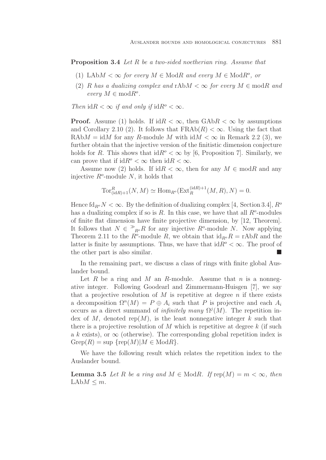**Proposition 3.4** Let R be a two-sided noetherian ring. Assume that

- (1) LAb $M < \infty$  for every  $M \in \text{Mod}R$  and every  $M \in \text{Mod}R^o$ , or
- (2) R has a dualizing complex and  $rAbM < \infty$  for every  $M \in \text{mod}R$  and every  $M \in \text{mod} R^o$ .

Then  $idR < \infty$  if and only if  $idR^{\circ} < \infty$ .

**Proof.** Assume (1) holds. If  $idR < \infty$ , then  $GAbR < \infty$  by assumptions and Corollary 2.10 (2). It follows that  $FRAb(R) < \infty$ . Using the fact that RAb $M = idM$  for any R-module M with  $idM < \infty$  in Remark 2.2 (3), we further obtain that the injective version of the finitistic dimension conjecture holds for R. This shows that  $idR^{\circ} < \infty$  by [6, Proposition 7]. Similarly, we can prove that if  $\mathrm{id}R^o < \infty$  then  $\mathrm{id}R < \infty$ .

Assume now (2) holds. If  $idR < \infty$ , then for any  $M \in \text{mod}R$  and any injective  $R^o$ -module N, it holds that

$$
\operatorname{Tor}^R_{(\operatorname{id} R)+1}(N,M) \simeq \operatorname{Hom}_{R^o}(\operatorname{Ext}^{(\operatorname{id} R)+1}_R(M,R),N) = 0
$$

Hence  $\text{fd}_{R^o} N < \infty$ . By the definition of dualizing complex [4, Section 3.4],  $R^o$ has a dualizing complex if so is R. In this case, we have that all  $R^o$ -modules of finite flat dimension have finite projective dimension, by [12, Theorem]. It follows that  $N \in \mathcal{P}_{R^o}R$  for any injective  $R^o$ -module N. Now applying Theorem 2.11 to the  $R^{\circ}$ -module R, we obtain that  $id_{R^{\circ}}R = rAbR$  and the latter is finite by assumptions. Thus, we have that  $idR^{\circ} < \infty$ . The proof of the other part is also similar. -

In the remaining part, we discuss a class of rings with finite global Auslander bound.

Let R be a ring and M an R-module. Assume that n is a nonnegative integer. Following Goodearl and Zimmermann-Huisgen [7], we say that a projective resolution of M is repetitive at degree n if there exists a decomposition  $\Omega^n(M) = P \oplus A_i$  such that P is projective and each  $A_i$ occurs as a direct summand of *infinitely many*  $\Omega^{j}(M)$ . The repetition index of M, denoted rep(M), is the least nonnegative integer k such that there is a projective resolution of M which is repetitive at degree  $k$  (if such a k exists), or  $\infty$  (otherwise). The corresponding global repetition index is  $Grep(R) = \sup \{ rep(M) | M \in Mod R \}.$ 

We have the following result which relates the repetition index to the Auslander bound.

**Lemma 3.5** Let R be a ring and  $M \in \text{Mod}R$ . If  $\text{rep}(M) = m < \infty$ , then  $LAbM \leq m$ .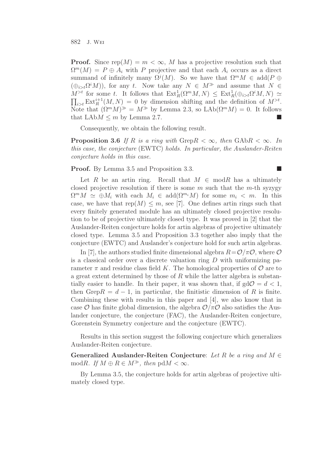**Proof.** Since  $\text{rep}(M) = m < \infty$ , M has a projective resolution such that  $\Omega^m(M) = P \oplus A_i$  with P projective and that each  $A_i$  occurs as a direct summand of infinitely many  $\Omega^{j}(M)$ . So we have that  $\Omega^{m}M \in \text{add}(P \oplus$  $(\bigoplus_{i>t} \Omega^i M)$ , for any t. Now take any  $N \in M^{\gg}$  and assume that  $N \in$  $M^{>t}$  for some t. It follows that  $\text{Ext}^1_R(\Omega^m M,N) \leq \text{Ext}^1_R(\bigoplus_{i> t} \Omega^i M,N) \simeq$  $\prod_{i>t} \text{Ext}^{i+1}_R(M,N) = 0$  by dimension shifting and the definition of  $M^{>t}$ . Note that  $(\Omega^m M)^{\geqslant} = M^{\geqslant}$  by Lemma 2.3, so LAb $(\Omega^m M) = 0$ . It follows that  $LAbM \leq m$  by Lemma 2.7.

Consequently, we obtain the following result.

**Proposition 3.6** If R is a ring with GrepR  $< \infty$ , then GAbR  $< \infty$ . In this case, the conjecture (EWTC) holds. In particular, the Auslander-Reiten conjecture holds in this case.

 $\Box$ 

**Proof.** By Lemma 3.5 and Proposition 3.3.

Let R be an artin ring. Recall that  $M \in \text{mod } R$  has a ultimately closed projective resolution if there is some  $m$  such that the  $m$ -th syzygy  $\Omega^m M \simeq \bigoplus M_i$  with each  $M_i \in \text{add}(\Omega^{m_i} M)$  for some  $m_i < m$ . In this case, we have that  $rep(M) \leq m$ , see [7]. One defines artin rings such that every finitely generated module has an ultimately closed projective resolution to be of projective ultimately closed type. It was proved in [2] that the Auslander-Reiten conjecture holds for artin algebras of projective ultimately closed type. Lemma 3.5 and Proposition 3.3 together also imply that the conjecture (EWTC) and Auslander's conjecture hold for such artin algebras.

In [7], the authors studied finite dimensional algebra  $R = \mathcal{O}/\pi\mathcal{O}$ , where  $\mathcal{O}$ is a classical order over a discrete valuation ring  $D$  with uniformizing parameter  $\pi$  and residue class field K. The homological properties of  $\mathcal O$  are to a great extent determined by those of  $R$  while the latter algebra is substantially easier to handle. In their paper, it was shown that, if  $gd\mathcal{O} = d < 1$ , then Grep $R = d - 1$ , in particular, the finitistic dimension of R is finite. Combining these with results in this paper and [4], we also know that in case O has finite global dimension, the algebra  $\mathcal{O}/\pi\mathcal{O}$  also satisfies the Auslander conjecture, the conjecture (FAC), the Auslander-Reiten conjecture, Gorenstein Symmetry conjecture and the conjecture (EWTC).

Results in this section suggest the following conjecture which generalizes Auslander-Reiten conjecture.

**Generalized Auslander-Reiten Conjecture**: Let R be a ring and M ∈ modR. If  $M \oplus R \in M^{\gg}$ , then pd $M < \infty$ .

By Lemma 3.5, the conjecture holds for artin algebras of projective ultimately closed type.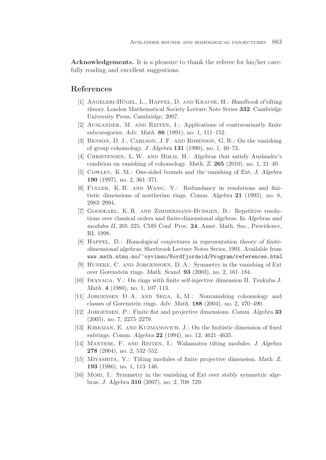**Acknowledgements.** It is a pleasure to thank the referee for his/her carefully reading and excellent suggestions.

# **References**

- [1] ANGELERI-HÜGEL, L., HAPPEL, D. AND KRAUSE, H.: *Handbook of tilting theory.* London Mathematical Society Lecture Note Series **332**. Cambridge University Press, Cambridge, 2007.
- [2] AUSLANDER, M. AND REITEN, I.: Applications of contravariantly finite subcategories. *Adv. Math.* **86** (1991), no. 1, 111–152.
- [3] Benson, D. J., Carlson, J. F. and Robinson, G. R.: On the vanishing of group cohomology. *J. Algebra* **131** (1990), no. 1, 40–73.
- [4] CHRISTENSEN, L. W. AND HOLM, H.: Algebras that satisfy Auslander's condition on vanishing of cohomology. *Math. Z.* **265** (2010), no. 1, 21–40.
- [5] Cowley, K. M.: One-sided bounds and the vanishing of Ext. *J. Algebra* **190** (1997), no. 2, 361–371.
- [6] Fuller, K. R. and Wang, Y.: Redundancy in resolutions and finitistic dimensions of noetherian rings. *Comm. Algebra* **21** (1993), no. 8, 2983–2994.
- [7] Goodearl, K. R. and Zimmermann-Huisgen, B.: Repetitive resolutions over classical orders and finite-dimensional algebras. In *Algebras and modules II*, 205–225. CMS Conf. Proc. **24**. Amer. Math. Soc., Providence, RI, 1998.
- [8] Happel, D.: *Homological conjectures in representation theory of finitedimensional algebras.* Sherbrook Lecture Notes Series, 1991. Available from www.math.ntnu.no/∼oyvinso/Nordfjordeid/Program/references.html
- [9] Huneke, C. and Jorgensoen, D. A.: Symmetry in the vanishing of Ext over Gorenstein rings. *Math. Scand.* **93** (2003), no. 2, 161–184.
- [10] Iwanaga, Y.: On rings with finite self-injective dimension II. *Tsukuba J. Math.* **4** (1980), no. 1, 107–113.
- [11] Jorgensen D. A. and Sega, L. M.: Nonvanishing cohomology and classes of Gorenstein rings. *Adv. Math.* **188** (2004), no. 2, 470–490.
- [12] Jorgensen, P.: Finite flat and projective dimensions. *Comm. Algebra* **33** (2005), no. 7, 2275–2279.
- [13] Kirkman, E. and Kuzmanovich, J.: On the finitistic dimension of fixed subrings. *Comm. Algebra* **22** (1994), no. 12, 4621–4635.
- [14] Mantese, F. and Reiten, I.: Wakamatsu tilting modules. *J. Algebra* **278** (2004), no. 2, 532–552.
- [15] Miyashita, Y.: Tilting modules of finite projective dimension. *Math. Z.* **193** (1986), no. 1, 113–146.
- [16] MORI, I.: Symmetry in the vanishing of Ext over stably symmetric algebras. *J. Algebra* **310** (2007), no. 2, 708–729.